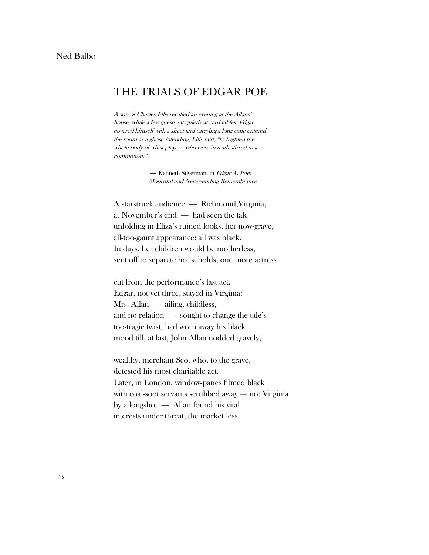## THE TRIALS OF EDGAR POE

A son of Charles Ellis recalled an evening at the Allans' house, while a few guests sat quietly at card tables: Edgar covered himself with a sheet and carrying a long cane entered the room as a ghost, intending, Ellis said, "to frighten the whole body of whist players, who were in truth stirred to a commotion."

> — Kenneth Silverman, in Edgar A. Poe: Mournful and Never-ending Remembrance

A starstruck audience — Richmond,Virginia, at November's end — had seen the tale unfolding in Eliza's ruined looks, her now-grave, all-too-gaunt appearance: all was black. In days, her children would be motherless, sent off to separate households, one more actress

cut from the performance's last act. Edgar, not yet three, stayed in Virginia: Mrs. Allan — ailing, childless, and no relation — sought to change the tale's too-tragic twist, had worn away his black mood till, at last, John Allan nodded gravely,

wealthy, merchant Scot who, to the grave, detested his most charitable act. Later, in London, window-panes filmed black with coal-soot servants scrubbed away — not Virginia by a longshot — Allan found his vital interests under threat, the market less